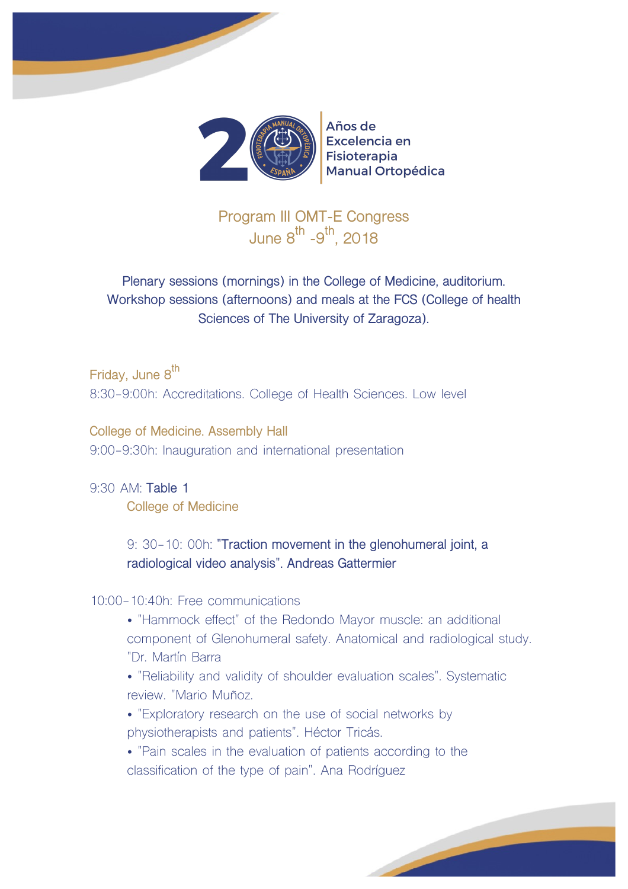



### Años de Excelencia en **Fisioterapia Manual Ortopédica**

**Program III OMT-E Congress June 8th -9 th, 2018**

**Plenary sessions (mornings) in the College of Medicine, auditorium. Workshop sessions (afternoons) and meals at the FCS (College of health Sciences of The University of Zaragoza).**

**Friday, June 8th** 8:30-9:00h: Accreditations. College of Health Sciences. Low level

**College of Medicine. Assembly Hall** 9:00-9:30h: Inauguration and international presentation

9:30 AM: **Table 1 College of Medicine**

> 9: 30-10: 00h: **"Traction movement in the glenohumeral joint, a radiological video analysis". Andreas Gattermier**

# 10:00-10:40h: Free communications

- "Hammock effect" of the Redondo Mayor muscle: an additional component of Glenohumeral safety. Anatomical and radiological study. "Dr. Martín Barra
- "Reliability and validity of shoulder evaluation scales". Systematic review. "Mario Muñoz.
- "Exploratory research on the use of social networks by physiotherapists and patients". Héctor Tricás.
- "Pain scales in the evaluation of patients according to the classification of the type of pain". Ana Rodríguez

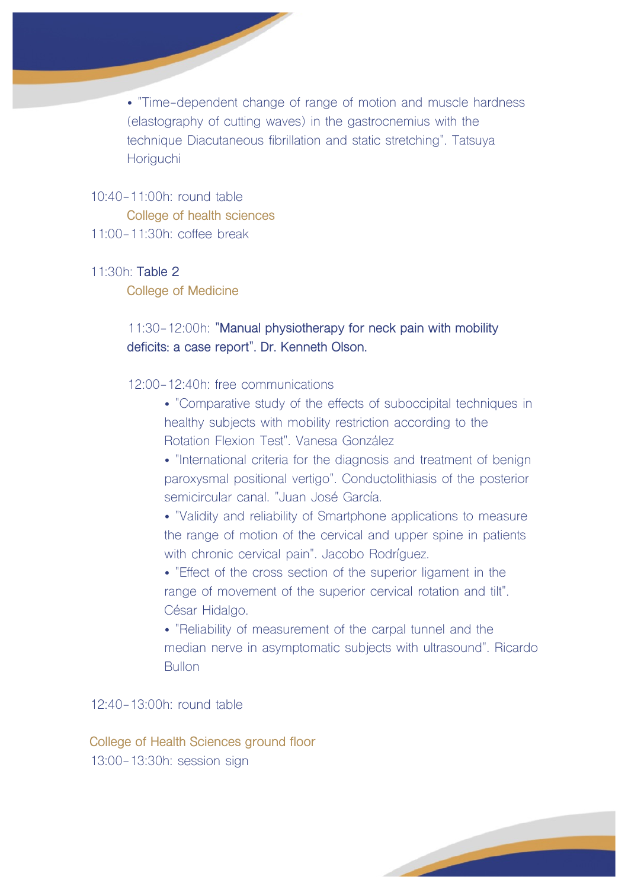• "Time-dependent change of range of motion and muscle hardness (elastography of cutting waves) in the gastrocnemius with the technique Diacutaneous fibrillation and static stretching". Tatsuya **Horiguchi** 

#### 10:40-11:00h: round table

**College of health sciences** 11:00-11:30h: coffee break

#### 11:30h: **Table 2**

**College of Medicine**

# 11:30-12:00h: **"Manual physiotherapy for neck pain with mobility deficits: a case report". Dr. Kenneth Olson.**

- 12:00-12:40h: free communications
	- "Comparative study of the effects of suboccipital techniques in healthy subjects with mobility restriction according to the Rotation Flexion Test". Vanesa González
	- "International criteria for the diagnosis and treatment of benign paroxysmal positional vertigo". Conductolithiasis of the posterior semicircular canal. "Juan José García.

• "Validity and reliability of Smartphone applications to measure the range of motion of the cervical and upper spine in patients with chronic cervical pain". Jacobo Rodríguez.

• "Effect of the cross section of the superior ligament in the range of movement of the superior cervical rotation and tilt". César Hidalgo.

• "Reliability of measurement of the carpal tunnel and the median nerve in asymptomatic subjects with ultrasound". Ricardo **Bullon** 

12:40-13:00h: round table

**College of Health Sciences ground floor** 13:00-13:30h: session sign

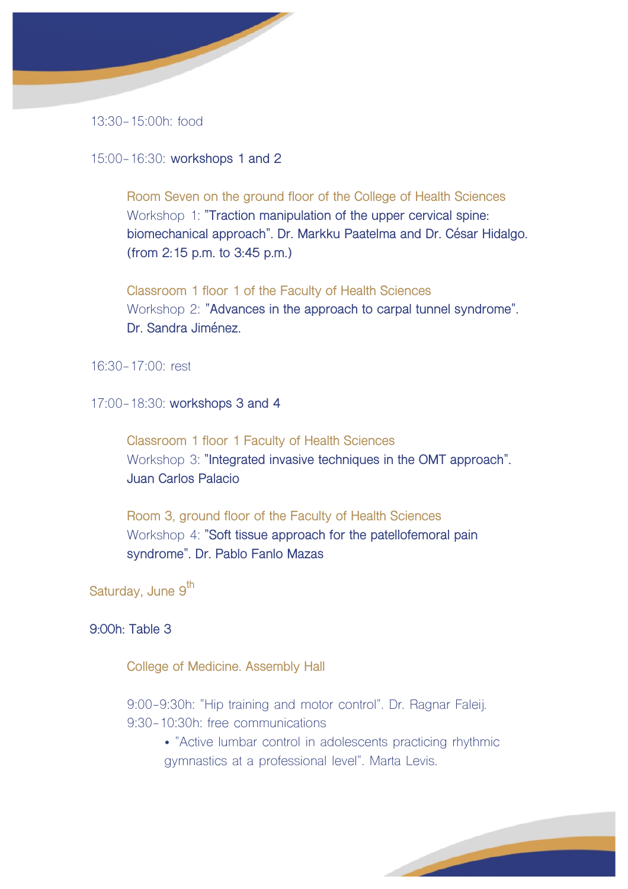

13:30-15:00h: food

15:00-16:30: **workshops 1 and 2**

**Room Seven on the ground floor of the College of Health Sciences** Workshop 1: **"Traction manipulation of the upper cervical spine: biomechanical approach". Dr. Markku Paatelma and Dr. César Hidalgo. (from 2:15 p.m. to 3:45 p.m.)**

**Classroom 1 floor 1 of the Faculty of Health Sciences** Workshop 2: **"Advances in the approach to carpal tunnel syndrome". Dr. Sandra Jiménez.**

16:30-17:00: rest

17:00-18:30: **workshops 3 and 4**

**Classroom 1 floor 1 Faculty of Health Sciences** Workshop 3: **"Integrated invasive techniques in the OMT approach". Juan Carlos Palacio**

**Room 3, ground floor of the Faculty of Health Sciences** Workshop 4: **"Soft tissue approach for the patellofemoral pain syndrome". Dr. Pablo Fanlo Mazas**

**Saturday, June 9th**

### **9:00h: Table 3**

**College of Medicine. Assembly Hall**

9:00-9:30h: "Hip training and motor control". Dr. Ragnar Faleij. 9:30-10:30h: free communications

> • "Active lumbar control in adolescents practicing rhythmic gymnastics at a professional level". Marta Levis.

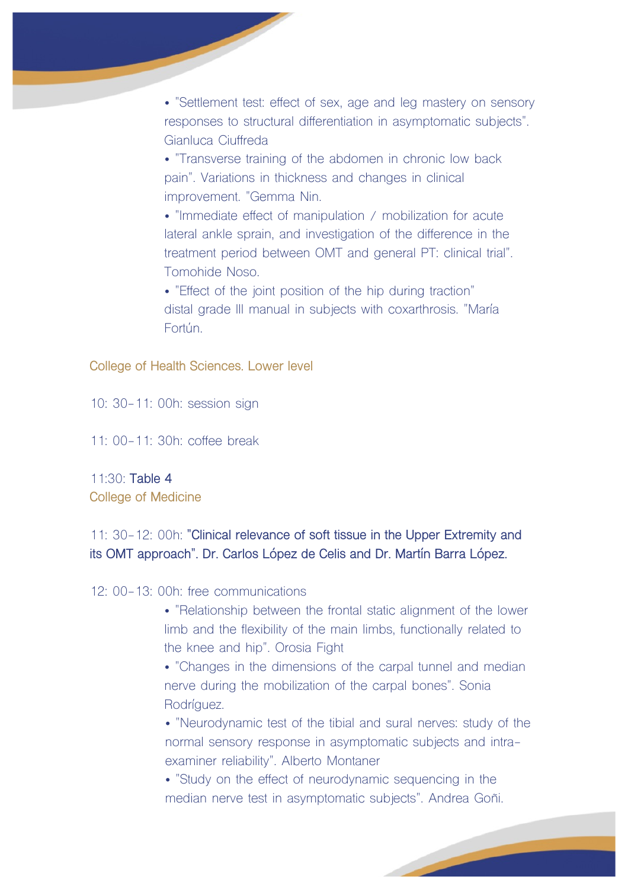• "Settlement test: effect of sex, age and leg mastery on sensory responses to structural differentiation in asymptomatic subjects". Gianluca Ciuffreda

• "Transverse training of the abdomen in chronic low back pain". Variations in thickness and changes in clinical improvement. "Gemma Nin.

• "Immediate effect of manipulation / mobilization for acute lateral ankle sprain, and investigation of the difference in the treatment period between OMT and general PT: clinical trial". Tomohide Noso.

• "Effect of the joint position of the hip during traction" distal grade III manual in subjects with coxarthrosis. "María Fortún.

**College of Health Sciences. Lower level**

10: 30-11: 00h: session sign

11: 00-11: 30h: coffee break

11:30: **Table 4 College of Medicine**

# 11: 30-12: 00h: **"Clinical relevance of soft tissue in the Upper Extremity and its OMT approach". Dr. Carlos López de Celis and Dr. Martín Barra López.**

12: 00-13: 00h: free communications

• "Relationship between the frontal static alignment of the lower limb and the flexibility of the main limbs, functionally related to the knee and hip". Orosia Fight

• "Changes in the dimensions of the carpal tunnel and median nerve during the mobilization of the carpal bones". Sonia Rodríguez.

• "Neurodynamic test of the tibial and sural nerves: study of the normal sensory response in asymptomatic subjects and intraexaminer reliability". Alberto Montaner

• "Study on the effect of neurodynamic sequencing in the median nerve test in asymptomatic subjects". Andrea Goñi.